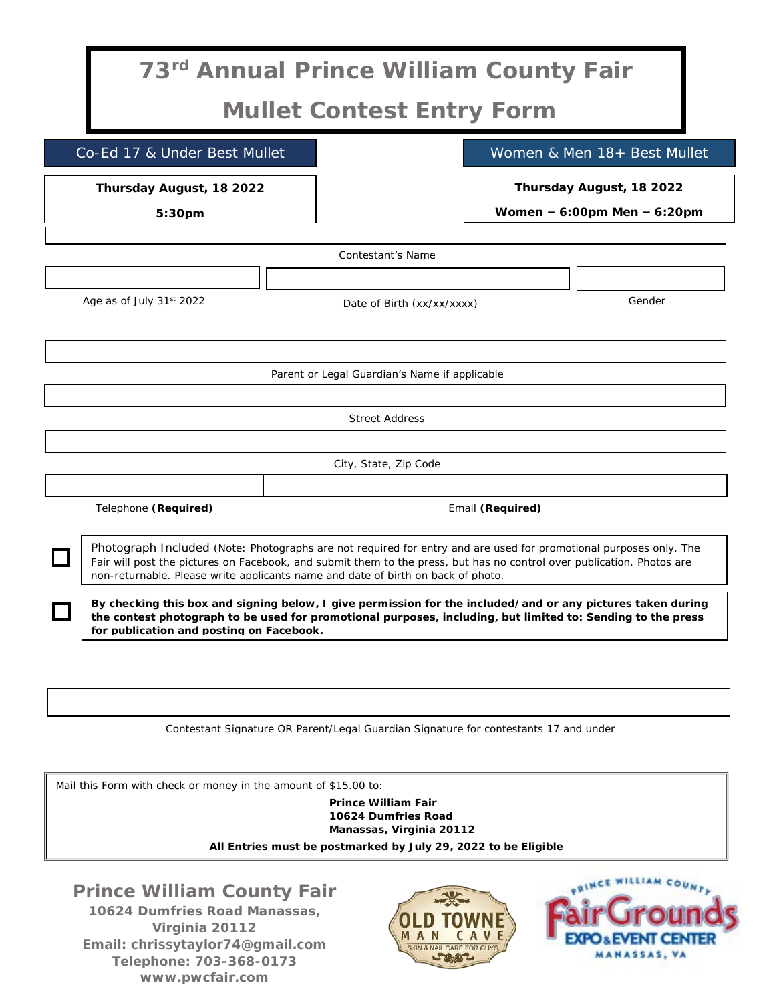| 73rd Annual Prince William County Fair                                                                                                                                                                                                                                                                                          |                            |                  |                                                             |  |  |
|---------------------------------------------------------------------------------------------------------------------------------------------------------------------------------------------------------------------------------------------------------------------------------------------------------------------------------|----------------------------|------------------|-------------------------------------------------------------|--|--|
| Mullet Contest Entry Form                                                                                                                                                                                                                                                                                                       |                            |                  |                                                             |  |  |
| Co-Ed 17 & Under Best Mullet                                                                                                                                                                                                                                                                                                    |                            |                  | Women & Men 18+ Best Mullet                                 |  |  |
| Thursday August, 18 2022<br>$5:30$ pm                                                                                                                                                                                                                                                                                           |                            |                  | Thursday August, 18 2022<br>Women $-6:00$ pm Men $-6:20$ pm |  |  |
| Contestant's Name                                                                                                                                                                                                                                                                                                               |                            |                  |                                                             |  |  |
| Age as of July $31st 2022$                                                                                                                                                                                                                                                                                                      | Date of Birth (xx/xx/xxxx) |                  | Gender                                                      |  |  |
| Parent or Legal Guardian's Name if applicable                                                                                                                                                                                                                                                                                   |                            |                  |                                                             |  |  |
| <b>Street Address</b>                                                                                                                                                                                                                                                                                                           |                            |                  |                                                             |  |  |
| City, State, Zip Code                                                                                                                                                                                                                                                                                                           |                            |                  |                                                             |  |  |
| Telephone (Required)                                                                                                                                                                                                                                                                                                            |                            | Email (Required) |                                                             |  |  |
| Photograph Included (Note: Photographs are not required for entry and are used for promotional purposes only. The<br>Fair will post the pictures on Facebook, and submit them to the press, but has no control over publication. Photos are<br>non-returnable. Please write applicants name and date of birth on back of photo. |                            |                  |                                                             |  |  |
| By checking this box and signing below, I give permission for the included/and or any pictures taken during<br>the contest photograph to be used for promotional purposes, including, but limited to: Sending to the press<br>for publication and posting on Facebook.                                                          |                            |                  |                                                             |  |  |

Contestant Signature OR Parent/Legal Guardian Signature for contestants 17 and under

Mail this Form with check or money in the amount of \$15.00 to:

**Prince William Fair 10624 Dumfries Road Manassas, Virginia 20112** *All Entries must be postmarked by July 29, 2022 to be Eligible*

**Prince William County Fair 10624 Dumfries Road Manassas, Virginia 20112 Email: chrissytaylor74@gmail.com Telephone: 703-368-0173 www.pwcfair.com**



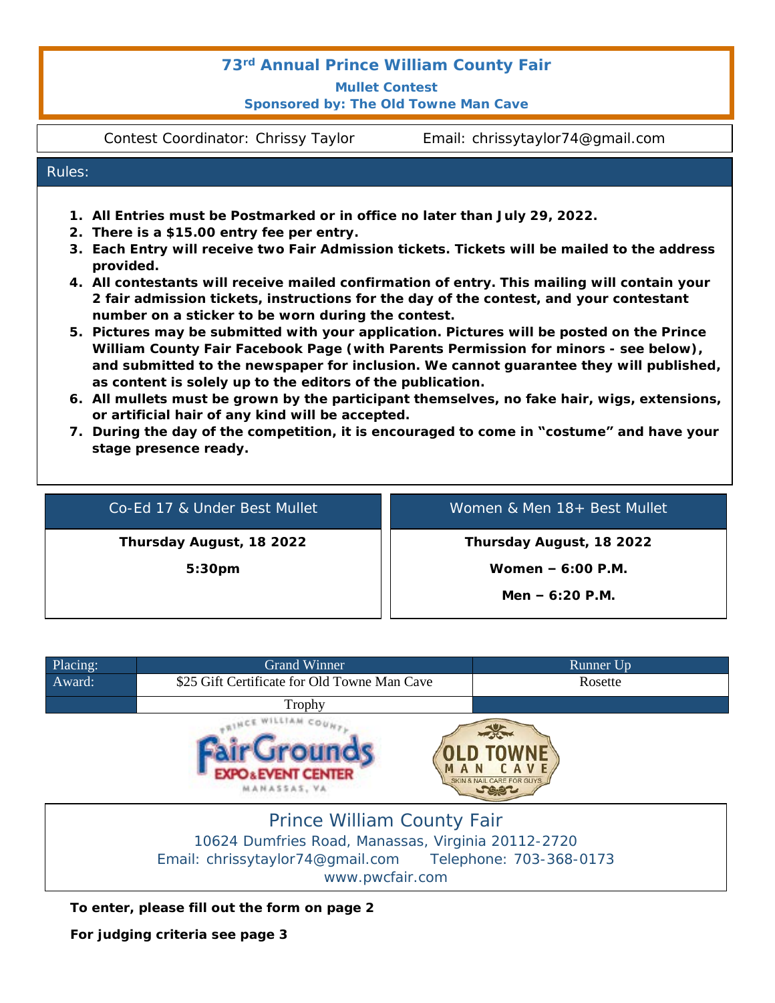## *73rd Annual Prince William County Fair*

**Mullet Contest Sponsored by: The Old Towne Man Cave**

Contest Coordinator: Chrissy Taylor Email: chrissytaylor74@gmail.com

## Rules:

- **1. All Entries must be Postmarked or in office no later than July 29, 2022.**
- **2. There is a \$15.00 entry fee per entry.**
- **3. Each Entry will receive two Fair Admission tickets. Tickets will be mailed to the address provided.**
- **4. All contestants will receive mailed confirmation of entry. This mailing will contain your 2 fair admission tickets, instructions for the day of the contest, and your contestant number on a sticker to be worn during the contest.**
- **5. Pictures may be submitted with your application. Pictures will be posted on the Prince William County Fair Facebook Page (with Parents Permission for minors - see below), and submitted to the newspaper for inclusion. We cannot guarantee they will published, as content is solely up to the editors of the publication.**
- **6. All mullets must be grown by the participant themselves, no fake hair, wigs, extensions, or artificial hair of any kind will be accepted.**
- **7. During the day of the competition, it is encouraged to come in "costume" and have your stage presence ready.**

| Co-Ed 17 & Under Best Mullet | Women & Men 18+ Best Mullet |
|------------------------------|-----------------------------|
| Thursday August, 18 2022     | Thursday August, 18 2022    |
| 5:30 <sub>pm</sub>           | Women $-6:00$ P.M.          |
|                              | Men $-6:20$ P.M.            |

| Placing: | <b>Grand Winner</b>                                | Runner Up                                              |
|----------|----------------------------------------------------|--------------------------------------------------------|
| Award:   | \$25 Gift Certificate for Old Towne Man Cave       | Rosette                                                |
|          | Trophy                                             |                                                        |
|          | <b>D&amp;EVENT CENTER</b><br><b>MANASSAS, VA</b>   | <b>SKIN &amp; NAIL CARE FOR GUYS.</b><br><b>Second</b> |
|          | Prince William County Fair                         |                                                        |
|          | 10624 Dumfries Road, Manassas, Virginia 20112-2720 |                                                        |

Email: chrissytaylor74@gmail.com Telephone: 703-368-0173

www.pwcfair.com

**To enter, please fill out the form on page 2**

**For judging criteria see page 3**